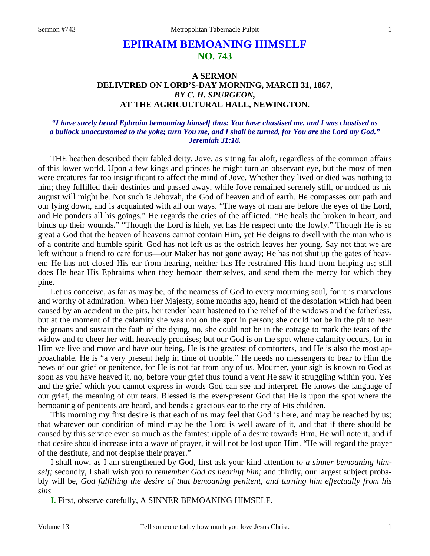# **EPHRAIM BEMOANING HIMSELF NO. 743**

## **A SERMON DELIVERED ON LORD'S-DAY MORNING, MARCH 31, 1867,**  *BY C. H. SPURGEON,*  **AT THE AGRICULTURAL HALL, NEWINGTON.**

#### *"I have surely heard Ephraim bemoaning himself thus: You have chastised me, and I was chastised as a bullock unaccustomed to the yoke; turn You me, and I shall be turned, for You are the Lord my God." Jeremiah 31:18.*

 THE heathen described their fabled deity, Jove, as sitting far aloft, regardless of the common affairs of this lower world. Upon a few kings and princes he might turn an observant eye, but the most of men were creatures far too insignificant to affect the mind of Jove. Whether they lived or died was nothing to him; they fulfilled their destinies and passed away, while Jove remained serenely still, or nodded as his august will might be. Not such is Jehovah, the God of heaven and of earth. He compasses our path and our lying down, and is acquainted with all our ways. "The ways of man are before the eyes of the Lord, and He ponders all his goings." He regards the cries of the afflicted. "He heals the broken in heart, and binds up their wounds." "Though the Lord is high, yet has He respect unto the lowly." Though He is so great a God that the heaven of heavens cannot contain Him, yet He deigns to dwell with the man who is of a contrite and humble spirit. God has not left us as the ostrich leaves her young. Say not that we are left without a friend to care for us—our Maker has not gone away; He has not shut up the gates of heaven; He has not closed His ear from hearing, neither has He restrained His hand from helping us; still does He hear His Ephraims when they bemoan themselves, and send them the mercy for which they pine.

Let us conceive, as far as may be, of the nearness of God to every mourning soul, for it is marvelous and worthy of admiration. When Her Majesty, some months ago, heard of the desolation which had been caused by an accident in the pits, her tender heart hastened to the relief of the widows and the fatherless, but at the moment of the calamity she was not on the spot in person; she could not be in the pit to hear the groans and sustain the faith of the dying, no, she could not be in the cottage to mark the tears of the widow and to cheer her with heavenly promises; but our God is on the spot where calamity occurs, for in Him we live and move and have our being. He is the greatest of comforters, and He is also the most approachable. He is "a very present help in time of trouble." He needs no messengers to bear to Him the news of our grief or penitence, for He is not far from any of us. Mourner, your sigh is known to God as soon as you have heaved it, no, before your grief thus found a vent He saw it struggling within you. Yes and the grief which you cannot express in words God can see and interpret. He knows the language of our grief, the meaning of our tears. Blessed is the ever-present God that He is upon the spot where the bemoaning of penitents are heard, and bends a gracious ear to the cry of His children.

 This morning my first desire is that each of us may feel that God is here, and may be reached by us; that whatever our condition of mind may be the Lord is well aware of it, and that if there should be caused by this service even so much as the faintest ripple of a desire towards Him, He will note it, and if that desire should increase into a wave of prayer, it will not be lost upon Him. "He will regard the prayer of the destitute, and not despise their prayer."

 I shall now, as I am strengthened by God, first ask your kind attention *to a sinner bemoaning himself;* secondly, I shall wish you *to remember God as hearing him;* and thirdly, our largest subject probably will be, *God fulfilling the desire of that bemoaning penitent, and turning him effectually from his sins.*

**I.** First, observe carefully, A SINNER BEMOANING HIMSELF.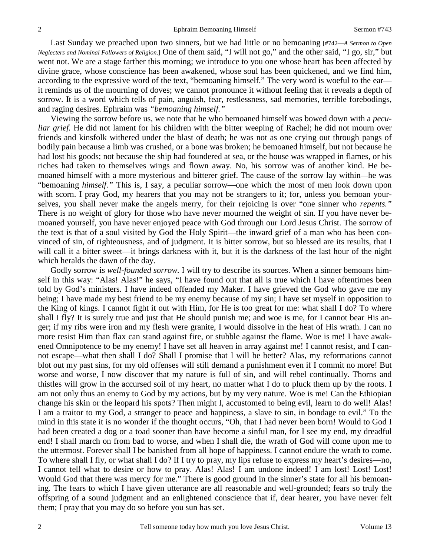Last Sunday we preached upon two sinners, but we had little or no bemoaning [#742—*A Sermon to Open Neglecters and Nominal Followers of Religion*.] One of them said, "I will not go," and the other said, "I go, sir," but went not. We are a stage farther this morning; we introduce to you one whose heart has been affected by divine grace, whose conscience has been awakened, whose soul has been quickened, and we find him, according to the expressive word of the text, "bemoaning himself." The very word is woeful to the ear it reminds us of the mourning of doves; we cannot pronounce it without feeling that it reveals a depth of sorrow. It is a word which tells of pain, anguish, fear, restlessness, sad memories, terrible forebodings, and raging desires. Ephraim was *"bemoaning himself."*

 Viewing the sorrow before us, we note that he who bemoaned himself was bowed down with a *peculiar grief.* He did not lament for his children with the bitter weeping of Rachel; he did not mourn over friends and kinsfolk withered under the blast of death; he was not as one crying out through pangs of bodily pain because a limb was crushed, or a bone was broken; he bemoaned himself, but not because he had lost his goods; not because the ship had foundered at sea, or the house was wrapped in flames, or his riches had taken to themselves wings and flown away. No, his sorrow was of another kind. He bemoaned himself with a more mysterious and bitterer grief. The cause of the sorrow lay within*—*he was "bemoaning *himself."* This is, I say, a peculiar sorrow—one which the most of men look down upon with scorn. I pray God, my hearers that you may not be strangers to it; for, unless you bemoan yourselves, you shall never make the angels merry, for their rejoicing is over "one sinner who *repents."* There is no weight of glory for those who have never mourned the weight of sin. If you have never bemoaned yourself, you have never enjoyed peace with God through our Lord Jesus Christ. The sorrow of the text is that of a soul visited by God the Holy Spirit—the inward grief of a man who has been convinced of sin, of righteousness, and of judgment. It is bitter sorrow, but so blessed are its results, that I will call it a bitter sweet—it brings darkness with it, but it is the darkness of the last hour of the night which heralds the dawn of the day.

 Godly sorrow is *well-founded sorrow.* I will try to describe its sources. When a sinner bemoans himself in this way: "Alas! Alas!" he says, "I have found out that all is true which I have oftentimes been told by God's ministers. I have indeed offended my Maker. I have grieved the God who gave me my being; I have made my best friend to be my enemy because of my sin; I have set myself in opposition to the King of kings. I cannot fight it out with Him, for He is too great for me: what shall I do? To where shall I fly? It is surely true and just that He should punish me; and woe is me, for I cannot bear His anger; if my ribs were iron and my flesh were granite, I would dissolve in the heat of His wrath. I can no more resist Him than flax can stand against fire, or stubble against the flame. Woe is me! I have awakened Omnipotence to be my enemy! I have set all heaven in array against me! I cannot resist, and I cannot escape—what then shall I do? Shall I promise that I will be better? Alas, my reformations cannot blot out my past sins, for my old offenses will still demand a punishment even if I commit no more! But worse and worse, I now discover that my nature is full of sin, and will rebel continually. Thorns and thistles will grow in the accursed soil of my heart, no matter what I do to pluck them up by the roots. I am not only thus an enemy to God by my actions, but by my very nature. Woe is me! Can the Ethiopian change his skin or the leopard his spots? Then might I, accustomed to being evil, learn to do well! Alas! I am a traitor to my God, a stranger to peace and happiness, a slave to sin, in bondage to evil." To the mind in this state it is no wonder if the thought occurs, "Oh, that I had never been born! Would to God I had been created a dog or a toad sooner than have become a sinful man, for I see my end, my dreadful end! I shall march on from bad to worse, and when I shall die, the wrath of God will come upon me to the uttermost. Forever shall I be banished from all hope of happiness. I cannot endure the wrath to come. To where shall I fly, or what shall I do? If I try to pray, my lips refuse to express my heart's desires—no, I cannot tell what to desire or how to pray. Alas! Alas! I am undone indeed! I am lost! Lost! Lost! Would God that there was mercy for me." There is good ground in the sinner's state for all his bemoaning. The fears to which I have given utterance are all reasonable and well-grounded; fears so truly the offspring of a sound judgment and an enlightened conscience that if, dear hearer, you have never felt them; I pray that you may do so before you sun has set.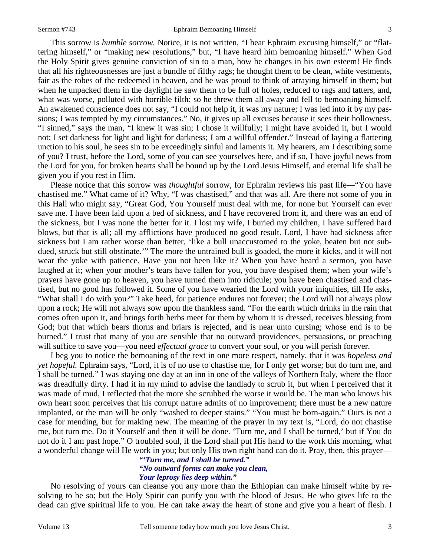This sorrow is *humble sorrow.* Notice, it is not written, "I hear Ephraim excusing himself," or "flattering himself," or "making new resolutions," but, "I have heard him bemoaning himself." When God the Holy Spirit gives genuine conviction of sin to a man, how he changes in his own esteem! He finds that all his righteousnesses are just a bundle of filthy rags; he thought them to be clean, white vestments, fair as the robes of the redeemed in heaven, and he was proud to think of arraying himself in them; but when he unpacked them in the daylight he saw them to be full of holes, reduced to rags and tatters, and, what was worse, polluted with horrible filth: so he threw them all away and fell to bemoaning himself. An awakened conscience does not say, "I could not help it, it was my nature; I was led into it by my passions; I was tempted by my circumstances." No, it gives up all excuses because it sees their hollowness. "I sinned," says the man, "I knew it was sin; I chose it willfully; I might have avoided it, but I would not; I set darkness for light and light for darkness; I am a willful offender." Instead of laying a flattering unction to his soul, he sees sin to be exceedingly sinful and laments it. My hearers, am I describing some of you? I trust, before the Lord, some of you can see yourselves here, and if so, I have joyful news from the Lord for you, for broken hearts shall be bound up by the Lord Jesus Himself, and eternal life shall be given you if you rest in Him.

 Please notice that this sorrow was *thoughtful* sorrow, for Ephraim reviews his past life—"You have chastised me." What came of it? Why, "I was chastised," and that was all. Are there not some of you in this Hall who might say, "Great God, You Yourself must deal with me, for none but Yourself can ever save me. I have been laid upon a bed of sickness, and I have recovered from it, and there was an end of the sickness, but I was none the better for it. I lost my wife, I buried my children, I have suffered hard blows, but that is all; all my afflictions have produced no good result. Lord, I have had sickness after sickness but I am rather worse than better, 'like a bull unaccustomed to the yoke, beaten but not subdued, struck but still obstinate.'" The more the untrained bull is goaded, the more it kicks, and it will not wear the yoke with patience. Have you not been like it? When you have heard a sermon, you have laughed at it; when your mother's tears have fallen for you, you have despised them; when your wife's prayers have gone up to heaven, you have turned them into ridicule; you have been chastised and chastised, but no good has followed it. Some of you have wearied the Lord with your iniquities, till He asks, "What shall I do with you?" Take heed, for patience endures not forever; the Lord will not always plow upon a rock; He will not always sow upon the thankless sand. "For the earth which drinks in the rain that comes often upon it, and brings forth herbs meet for them by whom it is dressed, receives blessing from God; but that which bears thorns and briars is rejected, and is near unto cursing; whose end is to be burned." I trust that many of you are sensible that no outward providences, persuasions, or preaching will suffice to save you—you need *effectual grace* to convert your soul, or you will perish forever.

 I beg you to notice the bemoaning of the text in one more respect, namely, that it was *hopeless and yet hopeful.* Ephraim says, "Lord, it is of no use to chastise me, for I only get worse; but do turn me, and I shall be turned." I was staying one day at an inn in one of the valleys of Northern Italy, where the floor was dreadfully dirty. I had it in my mind to advise the landlady to scrub it, but when I perceived that it was made of mud, I reflected that the more she scrubbed the worse it would be. The man who knows his own heart soon perceives that his corrupt nature admits of no improvement; there must be a new nature implanted, or the man will be only "washed to deeper stains." "You must be born-again." Ours is not a case for mending, but for making new. The meaning of the prayer in my text is, "Lord, do not chastise me, but turn me. Do it Yourself and then it will be done. 'Turn me, and I shall be turned,' but if You do not do it I am past hope." O troubled soul, if the Lord shall put His hand to the work this morning, what a wonderful change will He work in you; but only His own right hand can do it. Pray, then, this prayer—

*"'Turn me, and I shall be turned." "No outward forms can make you clean, Your leprosy lies deep within."* 

 No resolving of yours can cleanse you any more than the Ethiopian can make himself white by resolving to be so; but the Holy Spirit can purify you with the blood of Jesus. He who gives life to the dead can give spiritual life to you. He can take away the heart of stone and give you a heart of flesh. I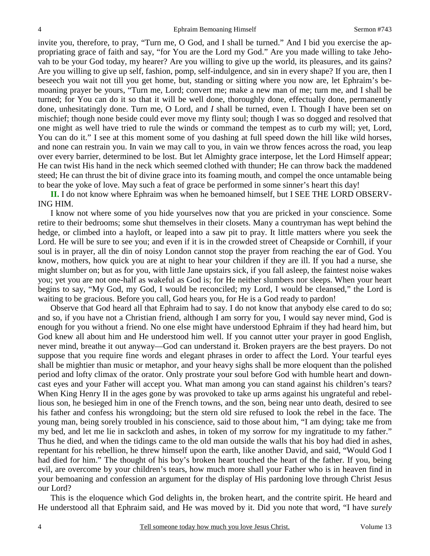invite you, therefore, to pray, "Turn me, O God, and I shall be turned." And I bid you exercise the appropriating grace of faith and say, "for You are the Lord my God." Are you made willing to take Jehovah to be your God today, my hearer? Are you willing to give up the world, its pleasures, and its gains? Are you willing to give up self, fashion, pomp, self-indulgence, and sin in every shape? If you are, then I beseech you wait not till you get home, but, standing or sitting where you now are, let Ephraim's bemoaning prayer be yours, "Turn me, Lord; convert me; make a new man of me; turn me, and I shall be turned; for You can do it so that it will be well done, thoroughly done, effectually done, permanently done, unhesitatingly done. Turn me, O Lord, and *I* shall be turned, even I. Though I have been set on mischief; though none beside could ever move my flinty soul; though I was so dogged and resolved that one might as well have tried to rule the winds or command the tempest as to curb my will; yet, Lord, You can do it." I see at this moment some of you dashing at full speed down the hill like wild horses, and none can restrain you. In vain we may call to you, in vain we throw fences across the road, you leap over every barrier, determined to be lost. But let Almighty grace interpose, let the Lord Himself appear; He can twist His hand in the neck which seemed clothed with thunder; He can throw back the maddened steed; He can thrust the bit of divine grace into its foaming mouth, and compel the once untamable being to bear the yoke of love. May such a feat of grace be performed in some sinner's heart this day!

**II.** I do not know where Ephraim was when he bemoaned himself, but I SEE THE LORD OBSERV-ING HIM.

 I know not where some of you hide yourselves now that you are pricked in your conscience. Some retire to their bedrooms; some shut themselves in their closets. Many a countryman has wept behind the hedge, or climbed into a hayloft, or leaped into a saw pit to pray. It little matters where you seek the Lord. He will be sure to see you; and even if it is in the crowded street of Cheapside or Cornhill, if your soul is in prayer, all the din of noisy London cannot stop the prayer from reaching the ear of God. You know, mothers, how quick you are at night to hear your children if they are ill. If you had a nurse, she might slumber on; but as for you, with little Jane upstairs sick, if you fall asleep, the faintest noise wakes you; yet you are not one-half as wakeful as God is; for He neither slumbers nor sleeps. When your heart begins to say, "My God, my God, I would be reconciled; my Lord, I would be cleansed," the Lord is waiting to be gracious. Before you call, God hears you, for He is a God ready to pardon!

 Observe that God heard all that Ephraim had to say. I do not know that anybody else cared to do so; and so, if you have not a Christian friend, although I am sorry for you, I would say never mind, God is enough for you without a friend. No one else might have understood Ephraim if they had heard him, but God knew all about him and He understood him well. If you cannot utter your prayer in good English, never mind, breathe it out anyway—God can understand it. Broken prayers are the best prayers. Do not suppose that you require fine words and elegant phrases in order to affect the Lord. Your tearful eyes shall be mightier than music or metaphor, and your heavy sighs shall be more eloquent than the polished period and lofty climax of the orator. Only prostrate your soul before God with humble heart and downcast eyes and your Father will accept you. What man among you can stand against his children's tears? When King Henry II in the ages gone by was provoked to take up arms against his ungrateful and rebellious son, he besieged him in one of the French towns, and the son, being near unto death, desired to see his father and confess his wrongdoing; but the stern old sire refused to look the rebel in the face. The young man, being sorely troubled in his conscience, said to those about him, "I am dying; take me from my bed, and let me lie in sackcloth and ashes, in token of my sorrow for my ingratitude to my father." Thus he died, and when the tidings came to the old man outside the walls that his boy had died in ashes, repentant for his rebellion, he threw himself upon the earth, like another David, and said, "Would God I had died for him." The thought of his boy's broken heart touched the heart of the father. If you, being evil, are overcome by your children's tears, how much more shall your Father who is in heaven find in your bemoaning and confession an argument for the display of His pardoning love through Christ Jesus our Lord?

 This is the eloquence which God delights in, the broken heart, and the contrite spirit. He heard and He understood all that Ephraim said, and He was moved by it. Did you note that word, "I have *surely*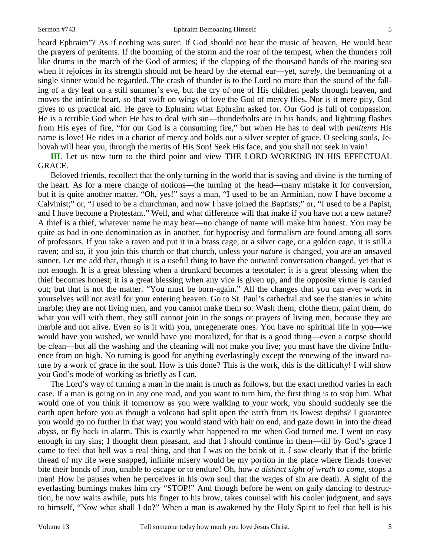heard Ephraim"? As if nothing was surer. If God should not hear the music of heaven, He would hear the prayers of penitents. If the booming of the storm and the roar of the tempest, when the thunders roll like drums in the march of the God of armies; if the clapping of the thousand hands of the roaring sea when it rejoices in its strength should not be heard by the eternal ear—yet, *surely*, the bemoaning of a single sinner would be regarded. The crash of thunder is to the Lord no more than the sound of the falling of a dry leaf on a still summer's eve, but the cry of one of His children peals through heaven, and moves the infinite heart, so that swift on wings of love the God of mercy flies. Nor is it mere pity, God gives to us practical aid. He gave to Ephraim what Ephraim asked for. Our God is full of compassion. He is a terrible God when He has to deal with sin—thunderbolts are in his hands, and lightning flashes from His eyes of fire, "for our God is a consuming fire," but when He has to deal with *penitents* His name is love! He rides in a chariot of mercy and holds out a silver scepter of grace. O seeking souls, Jehovah will hear you, through the merits of His Son! Seek His face, and you shall not seek in vain!

**III.** Let us now turn to the third point and view THE LORD WORKING IN HIS EFFECTUAL GRACE.

 Beloved friends, recollect that the only turning in the world that is saving and divine is the turning of the heart. As for a mere change of notions—the turning of the head—many mistake it for conversion, but it is quite another matter. "Oh, yes!" says a man, "I used to be an Arminian, now I have become a Calvinist;" or, "I used to be a churchman, and now I have joined the Baptists;" or, "I used to be a Papist, and I have become a Protestant." Well, and what difference will that make if you have not a new nature? A thief is a thief, whatever name he may bear—no change of name will make him honest. You may be quite as bad in one denomination as in another, for hypocrisy and formalism are found among all sorts of professors. If you take a raven and put it in a brass cage, or a silver cage, or a golden cage, it is still a raven; and so, if you join this church or that church, unless your *nature* is changed, you are an unsaved sinner. Let me add that, though it is a useful thing to have the outward conversation changed, yet that is not enough. It is a great blessing when a drunkard becomes a teetotaler; it is a great blessing when the thief becomes honest; it is a great blessing when any vice is given up, and the opposite virtue is carried out; but that is not the matter. "You must be born-again." All the changes that you can ever work in yourselves will not avail for your entering heaven. Go to St. Paul's cathedral and see the statues in white marble; they are not living men, and you cannot make them so. Wash them, clothe them, paint them, do what you will with them, they still cannot join in the songs or prayers of living men, because they are marble and not alive. Even so is it with you, unregenerate ones. You have no spiritual life in you—we would have you washed, we would have you moralized, for that is a good thing—even a corpse should be clean—but all the washing and the cleaning will not make you live; you must have the divine Influence from on high. No turning is good for anything everlastingly except the renewing of the inward nature by a work of grace in the soul. How is this done? This is the work, this is the difficulty! I will show you God's mode of working as briefly as I can.

 The Lord's way of turning a man in the main is much as follows, but the exact method varies in each case. If a man is going on in any one road, and you want to turn him, the first thing is to stop him. What would one of you think if tomorrow as you were walking to your work, you should suddenly see the earth open before you as though a volcano had split open the earth from its lowest depths? I guarantee you would go no further in that way; you would stand with hair on end, and gaze down in into the dread abyss, or fly back in alarm. This is exactly what happened to me when God turned *me*. I went on easy enough in my sins; I thought them pleasant, and that I should continue in them—till by God's grace I came to feel that hell was a real thing, and that I was on the brink of it. I saw clearly that if the brittle thread of my life were snapped, infinite misery would be my portion in the place where fiends forever bite their bonds of iron, unable to escape or to endure! Oh, how *a distinct sight of wrath to come,* stops a man! How he pauses when he perceives in his own soul that the wages of sin are death. A sight of the everlasting burnings makes him cry "STOP!" And though before he went on gaily dancing to destruction, he now waits awhile, puts his finger to his brow, takes counsel with his cooler judgment, and says to himself, "Now what shall I do?" When a man is awakened by the Holy Spirit to feel that hell is his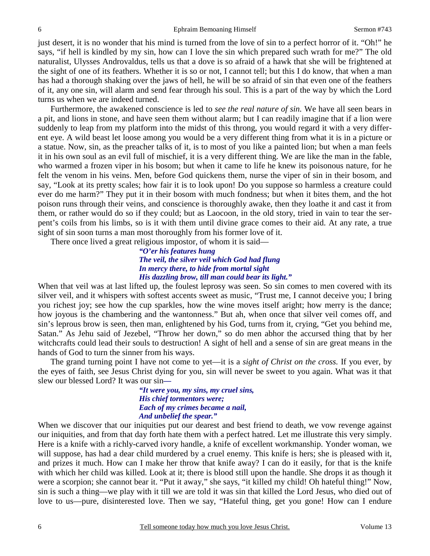just desert, it is no wonder that his mind is turned from the love of sin to a perfect horror of it. "Oh!" he says, "if hell is kindled by my sin, how can I love the sin which prepared such wrath for me?" The old naturalist, Ulysses Androvaldus, tells us that a dove is so afraid of a hawk that she will be frightened at the sight of one of its feathers. Whether it is so or not, I cannot tell; but this I do know, that when a man has had a thorough shaking over the jaws of hell, he will be so afraid of sin that even one of the feathers of it, any one sin, will alarm and send fear through his soul. This is a part of the way by which the Lord turns us when we are indeed turned.

 Furthermore, the awakened conscience is led to *see the real nature of sin.* We have all seen bears in a pit, and lions in stone, and have seen them without alarm; but I can readily imagine that if a lion were suddenly to leap from my platform into the midst of this throng, you would regard it with a very different eye. A wild beast let loose among you would be a very different thing from what it is in a picture or a statue. Now, sin, as the preacher talks of it, is to most of you like a painted lion; but when a man feels it in his own soul as an evil full of mischief, it is a very different thing. We are like the man in the fable, who warmed a frozen viper in his bosom; but when it came to life he knew its poisonous nature, for he felt the venom in his veins. Men, before God quickens them, nurse the viper of sin in their bosom, and say, "Look at its pretty scales; how fair it is to look upon! Do you suppose so harmless a creature could ever do me harm?" They put it in their bosom with much fondness; but when it bites them, and the hot poison runs through their veins, and conscience is thoroughly awake, then they loathe it and cast it from them, or rather would do so if they could; but as Laocoon, in the old story, tried in vain to tear the serpent's coils from his limbs, so is it with them until divine grace comes to their aid. At any rate, a true sight of sin soon turns a man most thoroughly from his former love of it.

There once lived a great religious impostor, of whom it is said—

*"O'er his features hung The veil, the silver veil which God had flung In mercy there, to hide from mortal sight His dazzling brow, till man could bear its light."* 

When that veil was at last lifted up, the foulest leprosy was seen. So sin comes to men covered with its silver veil, and it whispers with softest accents sweet as music, "Trust me, I cannot deceive you; I bring you richest joy; see how the cup sparkles, how the wine moves itself aright; how merry is the dance; how joyous is the chambering and the wantonness." But ah, when once that silver veil comes off, and sin's leprous brow is seen, then man, enlightened by his God, turns from it, crying, "Get you behind me, Satan." As Jehu said of Jezebel, "Throw her down," so do men abhor the accursed thing that by her witchcrafts could lead their souls to destruction! A sight of hell and a sense of sin are great means in the hands of God to turn the sinner from his ways.

 The grand turning point I have not come to yet—it is a *sight of Christ on the cross.* If you ever, by the eyes of faith, see Jesus Christ dying for you, sin will never be sweet to you again. What was it that slew our blessed Lord? It was our sin*—* 

> *"It were you, my sins, my cruel sins, His chief tormentors were; Each of my crimes became a nail, And unbelief the spear."*

When we discover that our iniquities put our dearest and best friend to death, we vow revenge against our iniquities, and from that day forth hate them with a perfect hatred. Let me illustrate this very simply. Here is a knife with a richly-carved ivory handle, a knife of excellent workmanship. Yonder woman, we will suppose, has had a dear child murdered by a cruel enemy. This knife is hers; she is pleased with it, and prizes it much. How can I make her throw that knife away? I can do it easily, for that is the knife with which her child was killed. Look at it; there is blood still upon the handle. She drops it as though it were a scorpion; she cannot bear it. "Put it away," she says, "it killed my child! Oh hateful thing!" Now, sin is such a thing—we play with it till we are told it was sin that killed the Lord Jesus, who died out of love to us—pure, disinterested love. Then we say, "Hateful thing, get you gone! How can I endure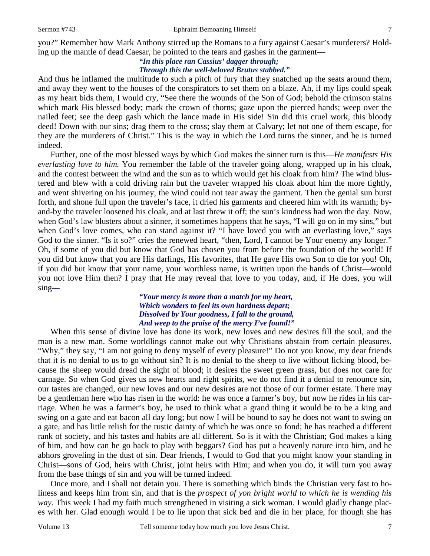you?" Remember how Mark Anthony stirred up the Romans to a fury against Caesar's murderers? Holding up the mantle of dead Caesar, he pointed to the tears and gashes in the garment—

## *"In this place ran Cassius' dagger through; Through this the well-beloved Brutus stabbed."*

And thus he inflamed the multitude to such a pitch of fury that they snatched up the seats around them, and away they went to the houses of the conspirators to set them on a blaze. Ah, if my lips could speak as my heart bids them, I would cry, "See there the wounds of the Son of God; behold the crimson stains which mark His blessed body; mark the crown of thorns; gaze upon the pierced hands; weep over the nailed feet; see the deep gash which the lance made in His side! Sin did this cruel work, this bloody deed! Down with our sins; drag them to the cross; slay them at Calvary; let not one of them escape, for they are the murderers of Christ." This is the way in which the Lord turns the sinner, and he is turned indeed.

 Further, one of the most blessed ways by which God makes the sinner turn is this—*He manifests His everlasting love to him.* You remember the fable of the traveler going along, wrapped up in his cloak, and the contest between the wind and the sun as to which would get his cloak from him? The wind blustered and blew with a cold driving rain but the traveler wrapped his cloak about him the more tightly, and went shivering on his journey; the wind could not tear away the garment. Then the genial sun burst forth, and shone full upon the traveler's face, it dried his garments and cheered him with its warmth; byand-by the traveler loosened his cloak, and at last threw it off; the sun's kindness had won the day. Now, when God's law blusters about a sinner, it sometimes happens that he says, "I will go on in my sins," but when God's love comes, who can stand against it? "I have loved you with an everlasting love," says God to the sinner. "Is it so?" cries the renewed heart, "then, Lord, I cannot be Your enemy any longer." Oh, if some of you did but know that God has chosen you from before the foundation of the world! If you did but know that you are His darlings, His favorites, that He gave His own Son to die for you! Oh, if you did but know that your name, your worthless name, is written upon the hands of Christ—would you not love Him then? I pray that He may reveal that love to you today, and, if He does, you will sing*—* 

### *"Your mercy is more than a match for my heart, Which wonders to feel its own hardness depart; Dissolved by Your goodness, I fall to the ground, And weep to the praise of the mercy I've found!"*

 When this sense of divine love has done its work, new loves and new desires fill the soul, and the man is a new man. Some worldlings cannot make out why Christians abstain from certain pleasures. "Why," they say, "I am not going to deny myself of every pleasure!" Do not you know, my dear friends that it is no denial to us to go without sin? It is no denial to the sheep to live without licking blood, because the sheep would dread the sight of blood; it desires the sweet green grass, but does not care for carnage. So when God gives us new hearts and right spirits, we do not find it a denial to renounce sin, our tastes are changed, our new loves and our new desires are not those of our former estate. There may be a gentleman here who has risen in the world: he was once a farmer's boy, but now he rides in his carriage. When he was a farmer's boy, he used to think what a grand thing it would be to be a king and swing on a gate and eat bacon all day long; but now I will be bound to say he does not want to swing on a gate, and has little relish for the rustic dainty of which he was once so fond; he has reached a different rank of society, and his tastes and habits are all different. So is it with the Christian; God makes a king of him, and how can he go back to play with beggars? God has put a heavenly nature into him, and he abhors groveling in the dust of sin. Dear friends, I would to God that you might know your standing in Christ—sons of God, heirs with Christ, joint heirs with Him; and when you do, it will turn you away from the base things of sin and you will be turned indeed.

 Once more, and I shall not detain you. There is something which binds the Christian very fast to holiness and keeps him from sin, and that is the *prospect of yon bright world to which he is wending his way.* This week I had my faith much strengthened in visiting a sick woman. I would gladly change places with her. Glad enough would I be to lie upon that sick bed and die in her place, for though she has